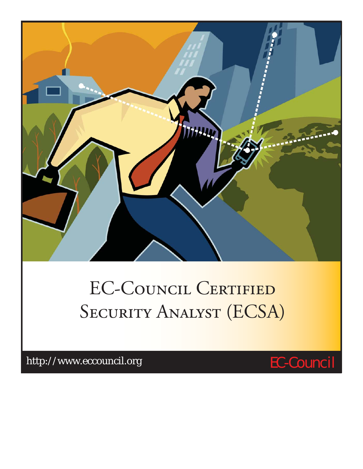

# EC-COUNCIL CERTIFIED SECURITY ANALYST (ECSA)

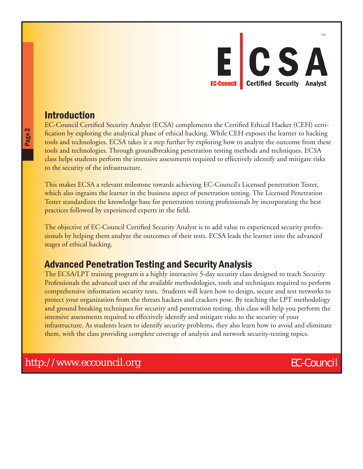

### Introduction

EC-Council Certified Security Analyst (ECSA) complements the Certified Ethical Hacker (CEH) certification by exploring the analytical phase of ethical hacking. While CEH exposes the learner to hacking tools and technologies, ECSA takes it a step further by exploring how to analyze the outcome from these tools and technologies. Through groundbreaking penetration testing methods and techniques, ECSA class helps students perform the intensive assessments required to effectively identify and mitigate risks to the security of the infrastructure.

This makes ECSA a relevant milestone towards achieving EC-Council's Licensed penetration Tester, which also ingrains the learner in the business aspect of penetration testing. The Licensed Penetration Tester standardizes the knowledge base for penetration testing professionals by incorporating the best practices followed by experienced experts in the field.

The objective of EC-Council Certified Security Analyst is to add value to experienced security professionals by helping them analyze the outcomes of their tests. ECSA leads the learner into the advanced stages of ethical hacking.

### Advanced Penetration Testing and Security Analysis

The ECSA/LPT training program is a highly interactive 5-day security class designed to teach Security Professionals the advanced uses of the available methodologies, tools and techniques required to perform comprehensive information security tests. Students will learn how to design, secure and test networks to protect your organization from the threats hackers and crackers pose. By teaching the LPT methodology and ground breaking techniques for security and penetration testing, this class will help you perform the intensive assessments required to effectively identify and mitigate risks to the security of your infrastructure. As students learn to identify security problems, they also learn how to avoid and eliminate them, with the class providing complete coverage of analysis and network security-testing topics.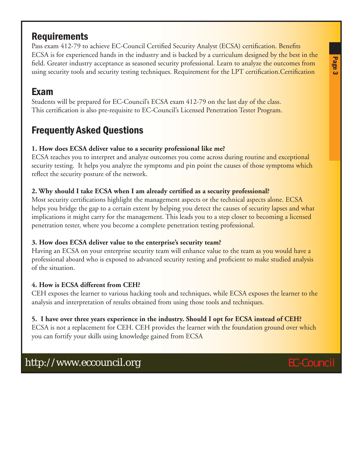# **Requirements**

Pass exam 412-79 to achieve EC-Council Certified Security Analyst (ECSA) certification. Benefits ECSA is for experienced hands in the industry and is backed by a curriculum designed by the best in the field. Greater industry acceptance as seasoned security professional. Learn to analyze the outcomes from using security tools and security testing techniques. Requirement for the LPT certification.Certification

# Exam

Students will be prepared for EC-Council's ECSA exam 412-79 on the last day of the class. This certification is also pre-requisite to EC-Council's Licensed Penetration Tester Program.

# Frequently Asked Questions

#### **1. How does ECSA deliver value to a security professional like me?**

ECSA teaches you to interpret and analyze outcomes you come across during routine and exceptional security testing. It helps you analyze the symptoms and pin point the causes of those symptoms which reflect the security posture of the network.

### **2. Why should I take ECSA when I am already certified as a security professional?**

Most security certifications highlight the management aspects or the technical aspects alone. ECSA helps you bridge the gap to a certain extent by helping you detect the causes of security lapses and what implications it might carry for the management. This leads you to a step closer to becoming a licensed penetration tester, where you become a complete penetration testing professional.

### **3. How does ECSA deliver value to the enterprise's security team?**

Having an ECSA on your enterprise security team will enhance value to the team as you would have a professional aboard who is exposed to advanced security testing and proficient to make studied analysis of the situation.

### **4. How is ECSA different from CEH?**

CEH exposes the learner to various hacking tools and techniques, while ECSA exposes the learner to the analysis and interpretation of results obtained from using those tools and techniques.

### **5. I have over three years experience in the industry. Should I opt for ECSA instead of CEH?**

ECSA is not a replacement for CEH. CEH provides the learner with the foundation ground over which you can fortify your skills using knowledge gained from ECSA

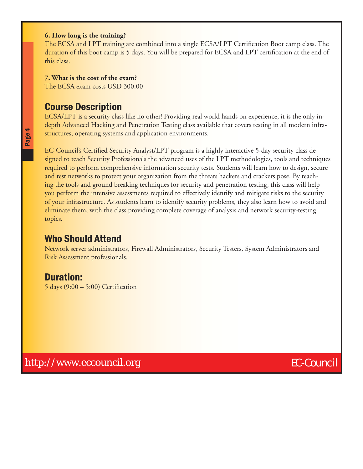#### **6. How long is the training?**

The ECSA and LPT training are combined into a single ECSA/LPT Certification Boot camp class. The duration of this boot camp is 5 days. You will be prepared for ECSA and LPT certification at the end of this class.

#### **7. What is the cost of the exam?**

The ECSA exam costs USD 300.00

### Course Description

ECSA/LPT is a security class like no other! Providing real world hands on experience, it is the only indepth Advanced Hacking and Penetration Testing class available that covers testing in all modern infrastructures, operating systems and application environments.

EC-Council's Certified Security Analyst/LPT program is a highly interactive 5-day security class designed to teach Security Professionals the advanced uses of the LPT methodologies, tools and techniques required to perform comprehensive information security tests. Students will learn how to design, secure and test networks to protect your organization from the threats hackers and crackers pose. By teaching the tools and ground breaking techniques for security and penetration testing, this class will help you perform the intensive assessments required to effectively identify and mitigate risks to the security of your infrastructure. As students learn to identify security problems, they also learn how to avoid and eliminate them, with the class providing complete coverage of analysis and network security-testing topics.

## Who Should Attend

Network server administrators, Firewall Administrators, Security Testers, System Administrators and [Risk Assessment](http://www.eccouncil.org/Certification/ec-council-certified-security-analyst) professionals.

### Duration:

 $5$  days  $(9:00 - 5:00)$  Certification

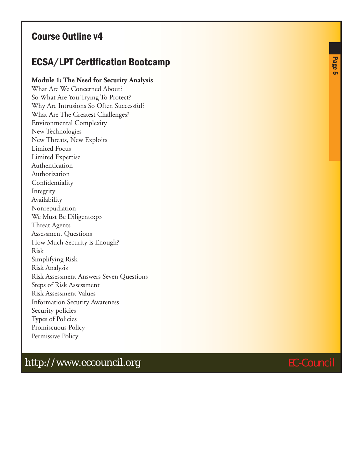## Course Outline v4

## ECSA/LPT Certification Bootcamp

#### **Module 1: The Need for Security Analysis**

What Are We Concerned About? So What Are You Trying To Protect? Why Are Intrusions So Often Successful? What Are The Greatest Challenges? Environmental Complexity New Technologies New Threats, New Exploits Limited Focus Limited Expertise Authentication Authorization Confidentiality Integrity Availability Nonrepudiation We Must Be Diligento:p> Threat Agents Assessment Questions How Much Security is Enough? Risk Simplifying Risk Risk Analysis Risk Assessment Answers Seven Questions Steps of Risk Assessment Risk Assessment Values Information Security Awareness Security policies Types of Policies Promiscuous Policy Permissive Policy

Page 5

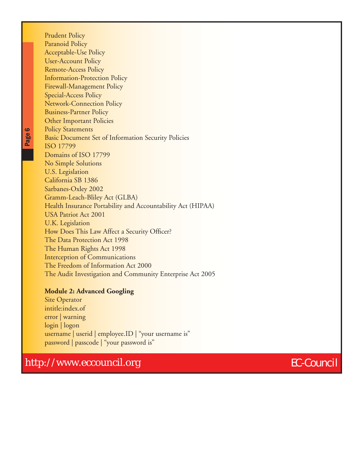Prudent Policy Paranoid Policy Acceptable-Use Policy User-Account Policy Remote-Access Policy Information-Protection Policy Firewall-Management Policy Special-Access Policy Network-Connection Policy Business-Partner Policy Other Important Policies Policy Statements Basic Document Set of Information Security Policies ISO 17799 Domains of ISO 17799 No Simple Solutions U.S. Legislation California SB 1386 Sarbanes-Oxley 2002 Gramm-Leach-Bliley Act (GLBA) Health Insurance Portability and Accountability Act (HIPAA) USA Patriot Act 2001 U.K. Legislation How Does This Law Affect a Security Officer? The Data Protection Act 1998 The Human Rights Act 1998 Interception of Communications The Freedom of Information Act 2000 The Audit Investigation and Community Enterprise Act 2005

#### **Module 2: Advanced Googling**

Site Operator intitle:index.of error | warning login | logon username | userid | employee.ID | "your username is" password | passcode | "your password is"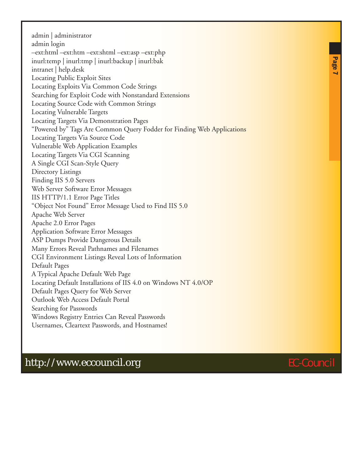admin | administrator admin login –ext:html –ext:htm –ext:shtml –ext:asp –ext:php inurl:temp | inurl:tmp | inurl:backup | inurl:bak intranet | help.desk Locating Public Exploit Sites Locating Exploits Via Common Code Strings Searching for Exploit Code with Nonstandard Extensions Locating Source Code with Common Strings Locating Vulnerable Targets Locating Targets Via Demonstration Pages "Powered by" Tags Are Common Query Fodder for Finding Web Applications Locating Targets Via Source Code Vulnerable Web Application Examples Locating Targets Via CGI Scanning A Single CGI Scan-Style Query Directory Listings Finding IIS 5.0 Servers Web Server Software Error Messages IIS HTTP/1.1 Error Page Titles "Object Not Found" Error Message Used to Find IIS 5.0 Apache Web Server Apache 2.0 Error Pages Application Software Error Messages ASP Dumps Provide Dangerous Details Many Errors Reveal Pathnames and Filenames CGI Environment Listings Reveal Lots of Information Default Pages A Typical Apache Default Web Page Locating Default Installations of IIS 4.0 on Windows NT 4.0/OP Default Pages Query for Web Server Outlook Web Access Default Portal Searching for Passwords Windows Registry Entries Can Reveal Passwords Usernames, Cleartext Passwords, and Hostnames!

Page<br>Page

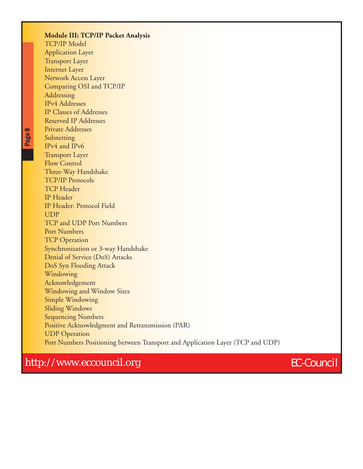| <b>Module III: TCP/IP Packet Analysis</b>                                      |
|--------------------------------------------------------------------------------|
| <b>TCP/IP Model</b>                                                            |
| <b>Application Layer</b>                                                       |
| <b>Transport Layer</b>                                                         |
| <b>Internet Layer</b>                                                          |
| Network Access Layer                                                           |
| Comparing OSI and TCP/IP                                                       |
| Addressing                                                                     |
| <b>IPv4</b> Addresses                                                          |
| <b>IP Classes of Addresses</b>                                                 |
| <b>Reserved IP Addresses</b>                                                   |
| <b>Private Addresses</b>                                                       |
| Subnetting                                                                     |
| IPv4 and IPv6                                                                  |
| <b>Transport Layer</b>                                                         |
| <b>Flow Control</b>                                                            |
| Three-Way Handshake                                                            |
| <b>TCP/IP Protocols</b>                                                        |
| <b>TCP</b> Header                                                              |
| IP Header                                                                      |
| <b>IP Header: Protocol Field</b>                                               |
| <b>UDP</b>                                                                     |
| <b>TCP and UDP Port Numbers</b>                                                |
| <b>Port Numbers</b>                                                            |
| <b>TCP Operation</b>                                                           |
| Synchronization or 3-way Handshake                                             |
| Denial of Service (DoS) Attacks                                                |
| DoS Syn Flooding Attack                                                        |
| Windowing                                                                      |
| Acknowledgement                                                                |
| <b>Windowing and Window Sizes</b>                                              |
| Simple Windowing                                                               |
| <b>Sliding Windows</b>                                                         |
| <b>Sequencing Numbers</b>                                                      |
| Positive Acknowledgment and Retransmission (PAR)                               |
| <b>UDP</b> Operation                                                           |
| Port Numbers Positioning between Transport and Application Layer (TCP and UDP) |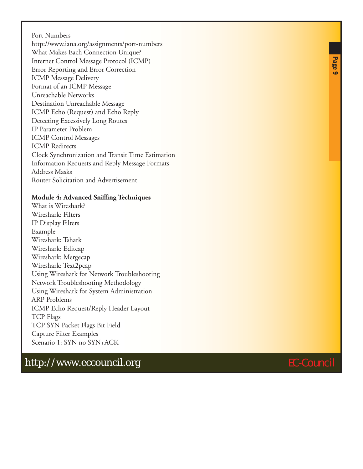Port Numbers http://www.iana.org/assignments/port-numbers What Makes Each Connection Unique? Internet Control Message Protocol (ICMP) Error Reporting and Error Correction ICMP Message Delivery Format of an ICMP Message Unreachable Networks Destination Unreachable Message ICMP Echo (Request) and Echo Reply Detecting Excessively Long Routes IP Parameter Problem ICMP Control Messages ICMP Redirects Clock Synchronization and Transit Time Estimation Information Requests and Reply Message Formats Address Masks Router Solicitation and Advertisement

#### **Module 4: Advanced Sniffing Techniques**

What is Wireshark? Wireshark: Filters IP Display Filters Example Wireshark: Tshark Wireshark: Editcap Wireshark: Mergecap Wireshark: Text2pcap Using Wireshark for Network Troubleshooting Network Troubleshooting Methodology Using Wireshark for System Administration ARP Problems ICMP Echo Request/Reply Header Layout TCP Flags TCP SYN Packet Flags Bit Field Capture Filter Examples Scenario 1: SYN no SYN+ACK

# http://www.eccouncil.org extends the extension of the EC-Council

Page 9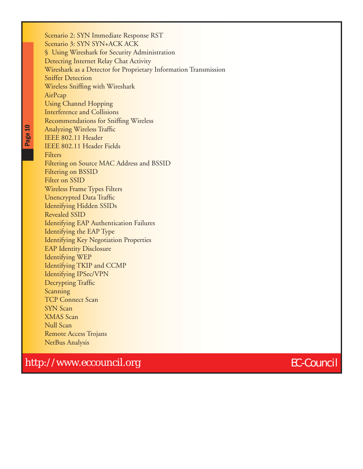Scenario 2: SYN Immediate Response RST Scenario 3: SYN SYN+ACK ACK § Using Wireshark for Security Administration Detecting Internet Relay Chat Activity Wireshark as a Detector for Proprietary Information Transmission Sniffer Detection Wireless Sniffing with Wireshark AirPcap Using Channel Hopping Interference and Collisions Recommendations for Sniffing Wireless Analyzing Wireless Traffic IEEE 802.11 Header IEEE 802.11 Header Fields Filters Filtering on Source MAC Address and BSSID Filtering on BSSID Filter on SSID Wireless Frame Types Filters Unencrypted Data Traffic Identifying Hidden SSIDs Revealed SSID Identifying EAP Authentication Failures Identifying the EAP Type Identifying Key Negotiation Properties EAP Identity Disclosure Identifying WEP Identifying TKIP and CCMP Identifying IPSec/VPN Decrypting Traffic Scanning TCP Connect Scan SYN Scan XMAS Scan Null Scan Remote Access Trojans NetBus Analysis

Page 10

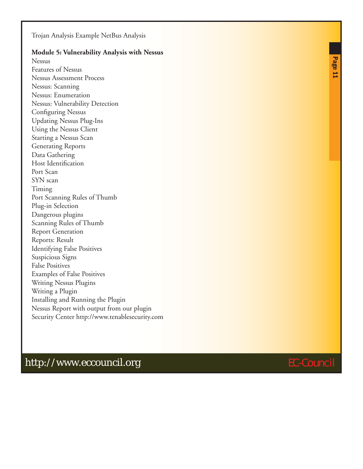Trojan Analysis Example NetBus Analysis

#### **Module 5: Vulnerability Analysis with Nessus**

Nessus Features of Nessus Nessus Assessment Process Nessus: Scanning Nessus: Enumeration Nessus: Vulnerability Detection Configuring Nessus Updating Nessus Plug-Ins Using the Nessus Client Starting a Nessus Scan Generating Reports Data Gathering Host Identification Port Scan SYN scan Timing Port Scanning Rules of Thumb Plug-in Selection Dangerous plugins Scanning Rules of Thumb Report Generation Reports: Result Identifying False Positives Suspicious Signs False Positives Examples of False Positives Writing Nessus Plugins Writing a Plugin Installing and Running the Plugin Nessus Report with output from our plugin Security Center http://www.tenablesecurity.com

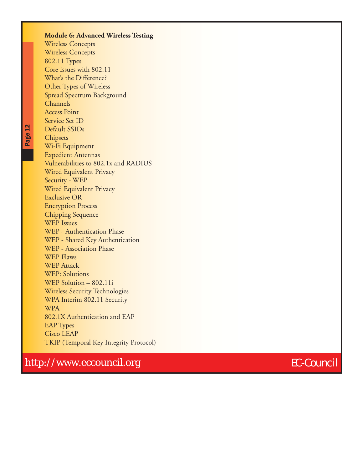#### **Module 6: Advanced Wireless Testing** Wireless Concepts Wireless Concepts 802.11 Types Core Issues with 802.11 What's the Difference? Other Types of Wireless Spread Spectrum Background Channels Access Point Service Set ID Default SSIDs **Chipsets** Wi-Fi Equipment Expedient Antennas Vulnerabilities to 802.1x and RADIUS Wired Equivalent Privacy Security - WEP Wired Equivalent Privacy Exclusive OR Encryption Process Chipping Sequence WEP Issues WEP - Authentication Phase WEP - Shared Key Authentication WEP - Association Phase WEP Flaws WEP Attack WEP: Solutions WEP Solution – 802.11i Wireless Security Technologies WPA Interim 802.11 Security **WPA** 802.1X Authentication and EAP EAP Types Cisco LEAP TKIP (Temporal Key Integrity Protocol)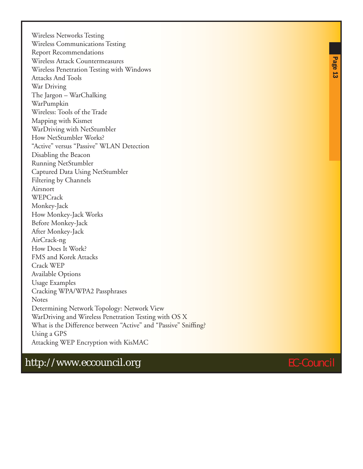Wireless Networks Testing Wireless Communications Testing Report Recommendations Wireless Attack Countermeasures Wireless Penetration Testing with Windows Attacks And Tools War Driving The Jargon – WarChalking WarPumpkin Wireless: Tools of the Trade Mapping with Kismet WarDriving with NetStumbler How NetStumbler Works? "Active" versus "Passive" WLAN Detection Disabling the Beacon Running NetStumbler Captured Data Using NetStumbler Filtering by Channels Airsnort WEPCrack Monkey-Jack How Monkey-Jack Works Before Monkey-Jack After Monkey-Jack AirCrack-ng How Does It Work? FMS and Korek Attacks Crack WEP Available Options Usage Examples Cracking WPA/WPA2 Passphrases Notes Determining Network Topology: Network View WarDriving and Wireless Penetration Testing with OS X What is the Difference between "Active" and "Passive" Sniffing? Using a GPS Attacking WEP Encryption with KisMAC



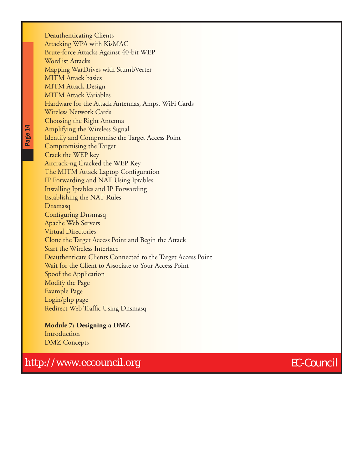Deauthenticating Clients Attacking WPA with KisMAC Brute-force Attacks Against 40-bit WEP Wordlist Attacks Mapping WarDrives with StumbVerter MITM Attack basics MITM Attack Design MITM Attack Variables Hardware for the Attack Antennas, Amps, WiFi Cards Wireless Network Cards Choosing the Right Antenna Amplifying the Wireless Signal Identify and Compromise the Target Access Point Compromising the Target Crack the WEP key Aircrack-ng Cracked the WEP Key The MITM Attack Laptop Configuration IP Forwarding and NAT Using Iptables Installing Iptables and IP Forwarding Establishing the NAT Rules Dnsmasq Configuring Dnsmasq Apache Web Servers Virtual Directories Clone the Target Access Point and Begin the Attack Start the Wireless Interface Deauthenticate Clients Connected to the Target Access Point Wait for the Client to Associate to Your Access Point Spoof the Application Modify the Page Example Page Login/php page Redirect Web Traffic Using Dnsmasq

**Module 7: Designing a DMZ** Introduction DMZ Concepts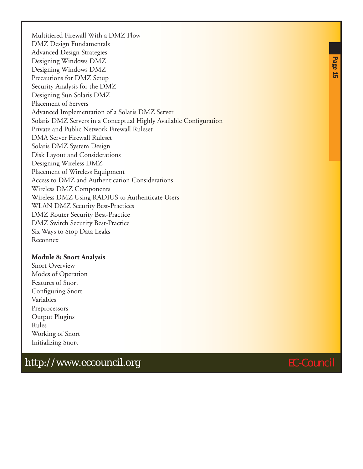Multitiered Firewall With a DMZ Flow DMZ Design Fundamentals Advanced Design Strategies Designing Windows DMZ Designing Windows DMZ Precautions for DMZ Setup Security Analysis for the DMZ Designing Sun Solaris DMZ Placement of Servers Advanced Implementation of a Solaris DMZ Server Solaris DMZ Servers in a Conceptual Highly Available Configuration Private and Public Network Firewall Ruleset DMA Server Firewall Ruleset Solaris DMZ System Design Disk Layout and Considerations Designing Wireless DMZ Placement of Wireless Equipment Access to DMZ and Authentication Considerations Wireless DMZ Components Wireless DMZ Using RADIUS to Authenticate Users WLAN DMZ Security Best-Practices DMZ Router Security Best-Practice DMZ Switch Security Best-Practice Six Ways to Stop Data Leaks Reconnex

#### **Module 8: Snort Analysis**

Snort Overview Modes of Operation Features of Snort Configuring Snort Variables Preprocessors Output Plugins Rules Working of Snort Initializing Snort

# http://www.eccouncil.org extends the extension of the EC-Council

Page 15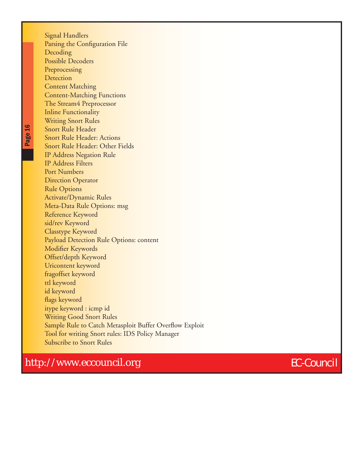Signal Handlers Parsing the Configuration File Decoding Possible Decoders Preprocessing **Detection** Content Matching Content-Matching Functions The Stream4 Preprocessor Inline Functionality Writing Snort Rules Snort Rule Header Snort Rule Header: Actions Snort Rule Header: Other Fields IP Address Negation Rule IP Address Filters Port Numbers Direction Operator Rule Options Activate/Dynamic Rules Meta-Data Rule Options: msg Reference Keyword sid/rev Keyword Classtype Keyword Payload Detection Rule Options: content Modifier Keywords Offset/depth Keyword Uricontent keyword fragoffset keyword ttl keyword id keyword flags keyword itype keyword : icmp id Writing Good Snort Rules Sample Rule to Catch Metasploit Buffer Overflow Exploit Tool for writing Snort rules: IDS Policy Manager Subscribe to Snort Rules

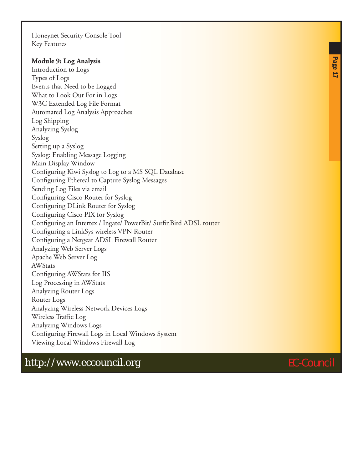Honeynet Security Console Tool Key Features

#### **Module 9: Log Analysis**

Introduction to Logs Types of Logs Events that Need to be Logged What to Look Out For in Logs W3C Extended Log File Format Automated Log Analysis Approaches Log Shipping Analyzing Syslog Syslog Setting up a Syslog Syslog: Enabling Message Logging Main Display Window Configuring Kiwi Syslog to Log to a MS SQL Database Configuring Ethereal to Capture Syslog Messages Sending Log Files via email Configuring Cisco Router for Syslog Configuring DLink Router for Syslog Configuring Cisco PIX for Syslog Configuring an Intertex / Ingate/ PowerBit/ SurfinBird ADSL router Configuring a LinkSys wireless VPN Router Configuring a Netgear ADSL Firewall Router Analyzing Web Server Logs Apache Web Server Log **AWStats** Configuring AWStats for IIS Log Processing in AWStats Analyzing Router Logs Router Logs Analyzing Wireless Network Devices Logs Wireless Traffic Log Analyzing Windows Logs Configuring Firewall Logs in Local Windows System Viewing Local Windows Firewall Log

# Page 17

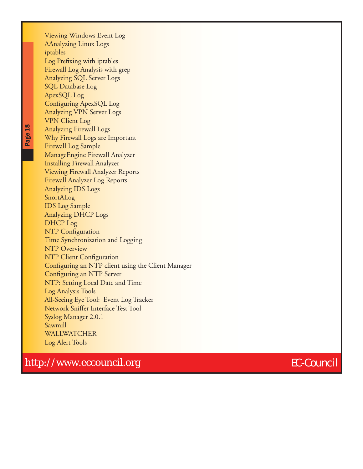Viewing Windows Event Log AAnalyzing Linux Logs iptables Log Prefixing with iptables Firewall Log Analysis with grep Analyzing SQL Server Logs SQL Database Log ApexSQL Log Configuring ApexSQL Log Analyzing VPN Server Logs VPN Client Log Analyzing Firewall Logs Why Firewall Logs are Important Firewall Log Sample ManageEngine Firewall Analyzer Installing Firewall Analyzer Viewing Firewall Analyzer Reports Firewall Analyzer Log Reports Analyzing IDS Logs SnortALog IDS Log Sample Analyzing DHCP Logs DHCP Log NTP Configuration Time Synchronization and Logging NTP Overview NTP Client Configuration Configuring an NTP client using the Client Manager Configuring an NTP Server NTP: Setting Local Date and Time Log Analysis Tools All-Seeing Eye Tool: Event Log Tracker Network Sniffer Interface Test Tool Syslog Manager 2.0.1 Sawmill WALLWATCHER Log Alert Tools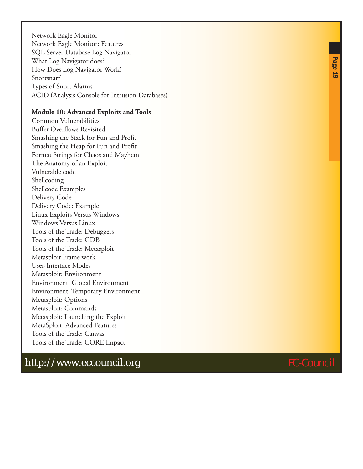Network Eagle Monitor Network Eagle Monitor: Features SQL Server Database Log Navigator What Log Navigator does? How Does Log Navigator Work? Snortsnarf Types of Snort Alarms ACID (Analysis Console for Intrusion Databases)

#### **Module 10: Advanced Exploits and Tools**

Common Vulnerabilities Buffer Overflows Revisited Smashing the Stack for Fun and Profit Smashing the Heap for Fun and Profit Format Strings for Chaos and Mayhem The Anatomy of an Exploit Vulnerable code Shellcoding Shellcode Examples Delivery Code Delivery Code: Example Linux Exploits Versus Windows Windows Versus Linux Tools of the Trade: Debuggers Tools of the Trade: GDB Tools of the Trade: Metasploit Metasploit Frame work User-Interface Modes Metasploit: Environment Environment: Global Environment Environment: Temporary Environment Metasploit: Options Metasploit: Commands Metasploit: Launching the Exploit MetaSploit: Advanced Features Tools of the Trade: Canvas Tools of the Trade: CORE Impact

# http://www.eccouncil.org extends the extension of the EC-Council

Page 19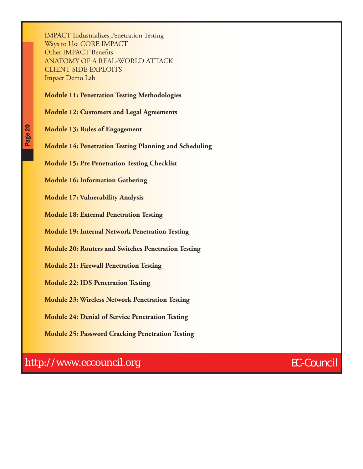IMPACT Industrializes Penetration Testing Ways to Use CORE IMPACT Other IMPACT Benefits ANATOMY OF A REAL-WORLD ATTACK CLIENT SIDE EXPLOITS Impact Demo Lab

#### **Module 11: Penetration Testing Methodologies**

**Module 12: Customers and Legal Agreements**

**Module 13: Rules of Engagement**

**Module 14: Penetration Testing Planning and Scheduling**

**Module 15: Pre Penetration Testing Checklist**

**Module 16: Information Gathering**

**Module 17: Vulnerability Analysis**

**Module 18: External Penetration Testing**

**Module 19: Internal Network Penetration Testing**

**Module 20: Routers and Switches Penetration Testing**

**Module 21: Firewall Penetration Testing**

**Module 22: IDS Penetration Testing**

**Module 23: Wireless Network Penetration Testing**

**Module 24: Denial of Service Penetration Testing**

**Module 25: Password Cracking Penetration Testing**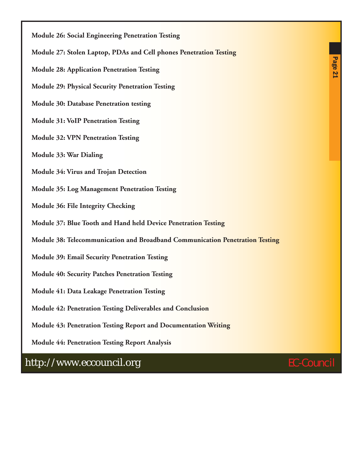**Module 26: Social Engineering Penetration Testing**

- **Module 27: Stolen Laptop, PDAs and Cell phones Penetration Testing**
- **Module 28: Application Penetration Testing**

**Module 29: Physical Security Penetration Testing**

**Module 30: Database Penetration testing**

**Module 31: VoIP Penetration Testing**

**Module 32: VPN Penetration Testing**

**Module 33: War Dialing**

**Module 34: Virus and Trojan Detection**

**Module 35: Log Management Penetration Testing**

**Module 36: File Integrity Checking**

**Module 37: Blue Tooth and Hand held Device Penetration Testing**

**Module 38: Telecommunication and Broadband Communication Penetration Testing**

**Module 39: Email Security Penetration Testing**

**Module 40: Security Patches Penetration Testing**

**Module 41: Data Leakage Penetration Testing**

**Module 42: Penetration Testing Deliverables and Conclusion**

**Module 43: Penetration Testing Report and Documentation Writing**

**Module 44: Penetration Testing Report Analysis**

http://www.eccouncil.org EC-Council



Page 21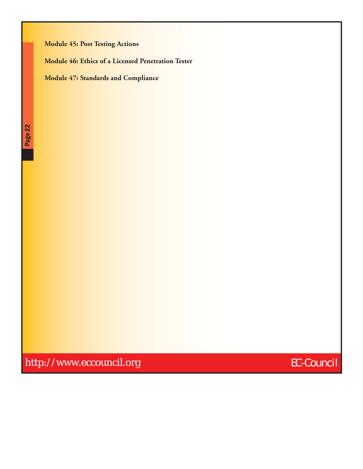#### **Module 45: Post Testing Actions**

**Module 46: Ethics of a Licensed Penetration Tester**

**Module 47: Standards and Compliance**